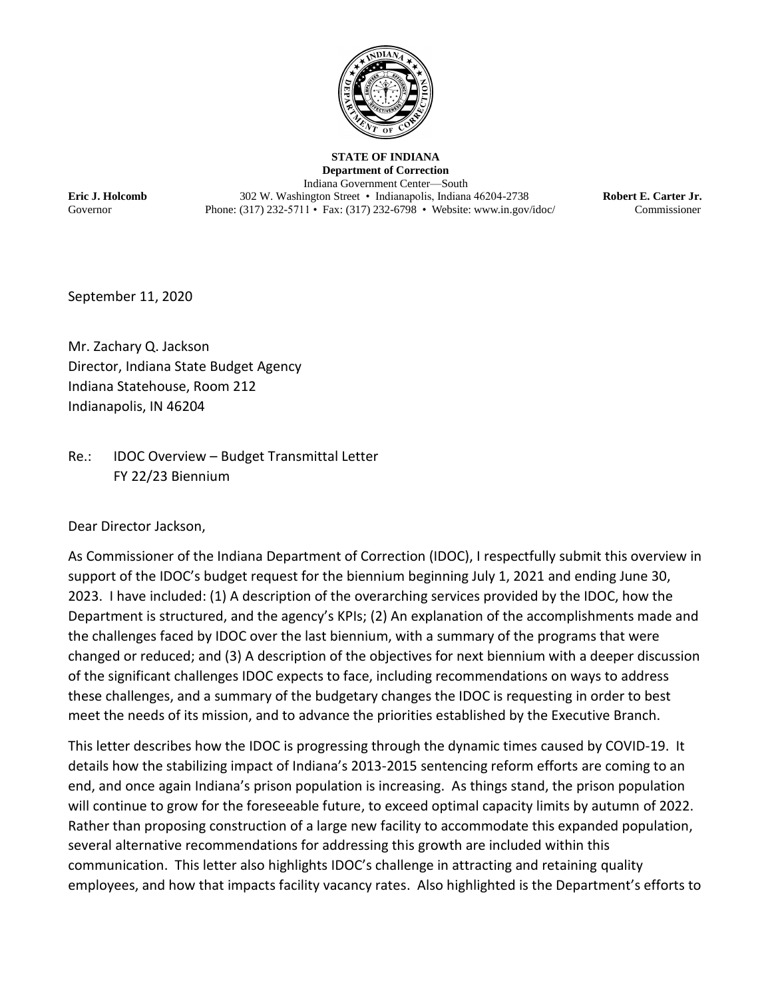

**STATE OF INDIANA Department of Correction** Indiana Government Center—South **Eric J. Holcomb** 302 W. Washington Street • Indianapolis, Indiana 46204-2738 **Robert E. Carter Jr.** Governor Phone: (317) 232-5711 • Fax: (317) 232-6798 • [Website: www.in.gov/idoc/](http://www.in.gov/idoc/) Commissioner

September 11, 2020

Mr. Zachary Q. Jackson Director, Indiana State Budget Agency Indiana Statehouse, Room 212 Indianapolis, IN 46204

Re.: IDOC Overview – Budget Transmittal Letter FY 22/23 Biennium

Dear Director Jackson,

As Commissioner of the Indiana Department of Correction (IDOC), I respectfully submit this overview in support of the IDOC's budget request for the biennium beginning July 1, 2021 and ending June 30, 2023. I have included: (1) A description of the overarching services provided by the IDOC, how the Department is structured, and the agency's KPIs; (2) An explanation of the accomplishments made and the challenges faced by IDOC over the last biennium, with a summary of the programs that were changed or reduced; and (3) A description of the objectives for next biennium with a deeper discussion of the significant challenges IDOC expects to face, including recommendations on ways to address these challenges, and a summary of the budgetary changes the IDOC is requesting in order to best meet the needs of its mission, and to advance the priorities established by the Executive Branch.

This letter describes how the IDOC is progressing through the dynamic times caused by COVID-19. It details how the stabilizing impact of Indiana's 2013-2015 sentencing reform efforts are coming to an end, and once again Indiana's prison population is increasing. As things stand, the prison population will continue to grow for the foreseeable future, to exceed optimal capacity limits by autumn of 2022. Rather than proposing construction of a large new facility to accommodate this expanded population, several alternative recommendations for addressing this growth are included within this communication. This letter also highlights IDOC's challenge in attracting and retaining quality employees, and how that impacts facility vacancy rates. Also highlighted is the Department's efforts to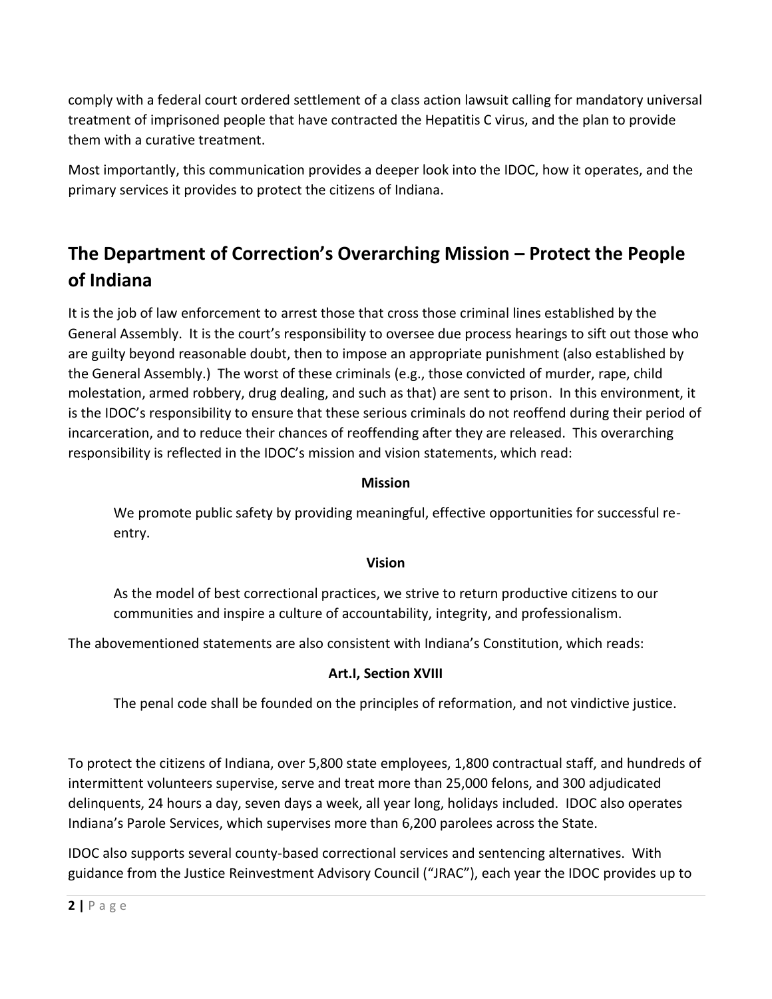comply with a federal court ordered settlement of a class action lawsuit calling for mandatory universal treatment of imprisoned people that have contracted the Hepatitis C virus, and the plan to provide them with a curative treatment.

Most importantly, this communication provides a deeper look into the IDOC, how it operates, and the primary services it provides to protect the citizens of Indiana.

# **The Department of Correction's Overarching Mission – Protect the People of Indiana**

It is the job of law enforcement to arrest those that cross those criminal lines established by the General Assembly. It is the court's responsibility to oversee due process hearings to sift out those who are guilty beyond reasonable doubt, then to impose an appropriate punishment (also established by the General Assembly.) The worst of these criminals (e.g., those convicted of murder, rape, child molestation, armed robbery, drug dealing, and such as that) are sent to prison. In this environment, it is the IDOC's responsibility to ensure that these serious criminals do not reoffend during their period of incarceration, and to reduce their chances of reoffending after they are released. This overarching responsibility is reflected in the IDOC's mission and vision statements, which read:

#### **Mission**

We promote public safety by providing meaningful, effective opportunities for successful reentry.

#### **Vision**

As the model of best correctional practices, we strive to return productive citizens to our communities and inspire a culture of accountability, integrity, and professionalism.

The abovementioned statements are also consistent with Indiana's Constitution, which reads:

### **Art.I, Section XVIII**

The penal code shall be founded on the principles of reformation, and not vindictive justice.

To protect the citizens of Indiana, over 5,800 state employees, 1,800 contractual staff, and hundreds of intermittent volunteers supervise, serve and treat more than 25,000 felons, and 300 adjudicated delinquents, 24 hours a day, seven days a week, all year long, holidays included. IDOC also operates Indiana's Parole Services, which supervises more than 6,200 parolees across the State.

IDOC also supports several county-based correctional services and sentencing alternatives. With guidance from the Justice Reinvestment Advisory Council ("JRAC"), each year the IDOC provides up to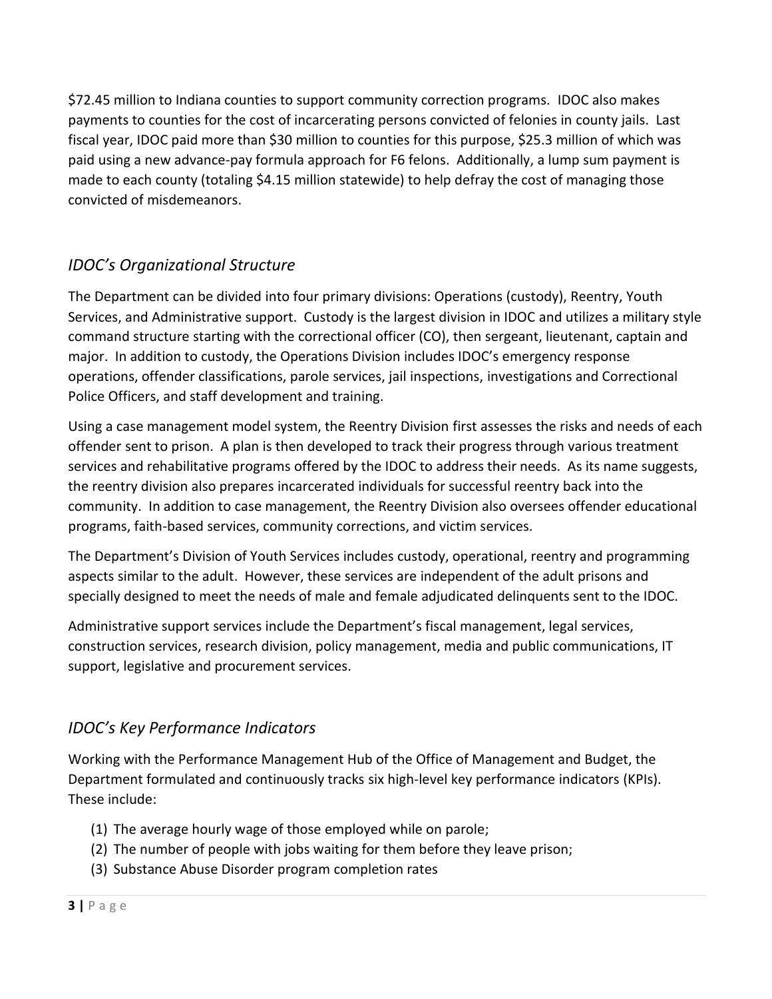\$72.45 million to Indiana counties to support community correction programs. IDOC also makes payments to counties for the cost of incarcerating persons convicted of felonies in county jails. Last fiscal year, IDOC paid more than \$30 million to counties for this purpose, \$25.3 million of which was paid using a new advance-pay formula approach for F6 felons. Additionally, a lump sum payment is made to each county (totaling \$4.15 million statewide) to help defray the cost of managing those convicted of misdemeanors.

# *IDOC's Organizational Structure*

The Department can be divided into four primary divisions: Operations (custody), Reentry, Youth Services, and Administrative support. Custody is the largest division in IDOC and utilizes a military style command structure starting with the correctional officer (CO), then sergeant, lieutenant, captain and major. In addition to custody, the Operations Division includes IDOC's emergency response operations, offender classifications, parole services, jail inspections, investigations and Correctional Police Officers, and staff development and training.

Using a case management model system, the Reentry Division first assesses the risks and needs of each offender sent to prison. A plan is then developed to track their progress through various treatment services and rehabilitative programs offered by the IDOC to address their needs. As its name suggests, the reentry division also prepares incarcerated individuals for successful reentry back into the community. In addition to case management, the Reentry Division also oversees offender educational programs, faith-based services, community corrections, and victim services.

The Department's Division of Youth Services includes custody, operational, reentry and programming aspects similar to the adult. However, these services are independent of the adult prisons and specially designed to meet the needs of male and female adjudicated delinquents sent to the IDOC.

Administrative support services include the Department's fiscal management, legal services, construction services, research division, policy management, media and public communications, IT support, legislative and procurement services.

# *IDOC's Key Performance Indicators*

Working with the Performance Management Hub of the Office of Management and Budget, the Department formulated and continuously tracks six high-level key performance indicators (KPIs). These include:

- (1) The average hourly wage of those employed while on parole;
- (2) The number of people with jobs waiting for them before they leave prison;
- (3) Substance Abuse Disorder program completion rates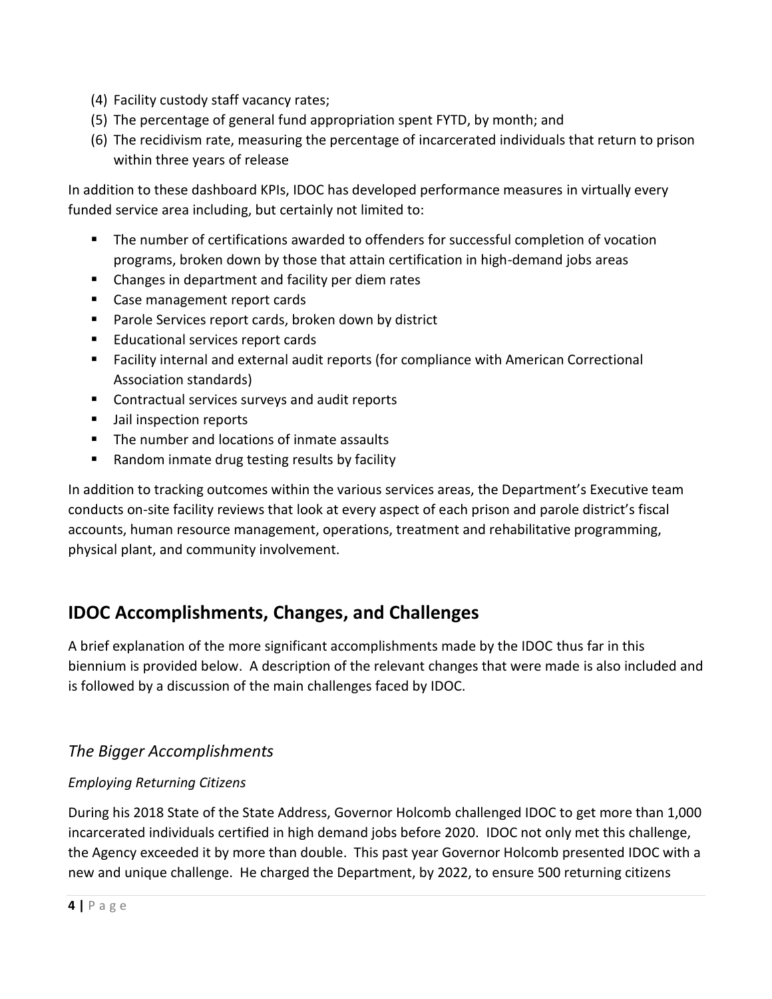- (4) Facility custody staff vacancy rates;
- (5) The percentage of general fund appropriation spent FYTD, by month; and
- (6) The recidivism rate, measuring the percentage of incarcerated individuals that return to prison within three years of release

In addition to these dashboard KPIs, IDOC has developed performance measures in virtually every funded service area including, but certainly not limited to:

- The number of certifications awarded to offenders for successful completion of vocation programs, broken down by those that attain certification in high-demand jobs areas
- Changes in department and facility per diem rates
- Case management report cards
- Parole Services report cards, broken down by district
- Educational services report cards
- Facility internal and external audit reports (for compliance with American Correctional Association standards)
- Contractual services surveys and audit reports
- Jail inspection reports
- The number and locations of inmate assaults
- Random inmate drug testing results by facility

In addition to tracking outcomes within the various services areas, the Department's Executive team conducts on-site facility reviews that look at every aspect of each prison and parole district's fiscal accounts, human resource management, operations, treatment and rehabilitative programming, physical plant, and community involvement.

# **IDOC Accomplishments, Changes, and Challenges**

A brief explanation of the more significant accomplishments made by the IDOC thus far in this biennium is provided below. A description of the relevant changes that were made is also included and is followed by a discussion of the main challenges faced by IDOC.

# *The Bigger Accomplishments*

### *Employing Returning Citizens*

During his 2018 State of the State Address, Governor Holcomb challenged IDOC to get more than 1,000 incarcerated individuals certified in high demand jobs before 2020. IDOC not only met this challenge, the Agency exceeded it by more than double. This past year Governor Holcomb presented IDOC with a new and unique challenge. He charged the Department, by 2022, to ensure 500 returning citizens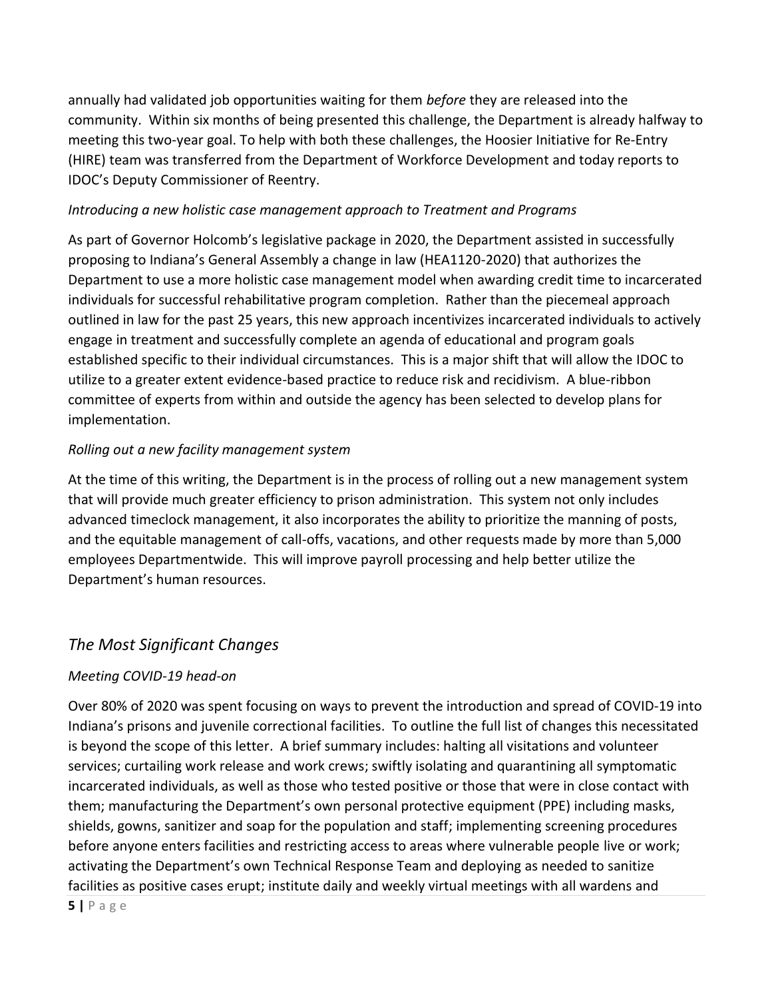annually had validated job opportunities waiting for them *before* they are released into the community. Within six months of being presented this challenge, the Department is already halfway to meeting this two-year goal. To help with both these challenges, the Hoosier Initiative for Re-Entry (HIRE) team was transferred from the Department of Workforce Development and today reports to IDOC's Deputy Commissioner of Reentry.

#### *Introducing a new holistic case management approach to Treatment and Programs*

As part of Governor Holcomb's legislative package in 2020, the Department assisted in successfully proposing to Indiana's General Assembly a change in law (HEA1120-2020) that authorizes the Department to use a more holistic case management model when awarding credit time to incarcerated individuals for successful rehabilitative program completion. Rather than the piecemeal approach outlined in law for the past 25 years, this new approach incentivizes incarcerated individuals to actively engage in treatment and successfully complete an agenda of educational and program goals established specific to their individual circumstances. This is a major shift that will allow the IDOC to utilize to a greater extent evidence-based practice to reduce risk and recidivism. A blue-ribbon committee of experts from within and outside the agency has been selected to develop plans for implementation.

#### *Rolling out a new facility management system*

At the time of this writing, the Department is in the process of rolling out a new management system that will provide much greater efficiency to prison administration. This system not only includes advanced timeclock management, it also incorporates the ability to prioritize the manning of posts, and the equitable management of call-offs, vacations, and other requests made by more than 5,000 employees Departmentwide. This will improve payroll processing and help better utilize the Department's human resources.

## *The Most Significant Changes*

### *Meeting COVID-19 head-on*

Over 80% of 2020 was spent focusing on ways to prevent the introduction and spread of COVID-19 into Indiana's prisons and juvenile correctional facilities. To outline the full list of changes this necessitated is beyond the scope of this letter. A brief summary includes: halting all visitations and volunteer services; curtailing work release and work crews; swiftly isolating and quarantining all symptomatic incarcerated individuals, as well as those who tested positive or those that were in close contact with them; manufacturing the Department's own personal protective equipment (PPE) including masks, shields, gowns, sanitizer and soap for the population and staff; implementing screening procedures before anyone enters facilities and restricting access to areas where vulnerable people live or work; activating the Department's own Technical Response Team and deploying as needed to sanitize facilities as positive cases erupt; institute daily and weekly virtual meetings with all wardens and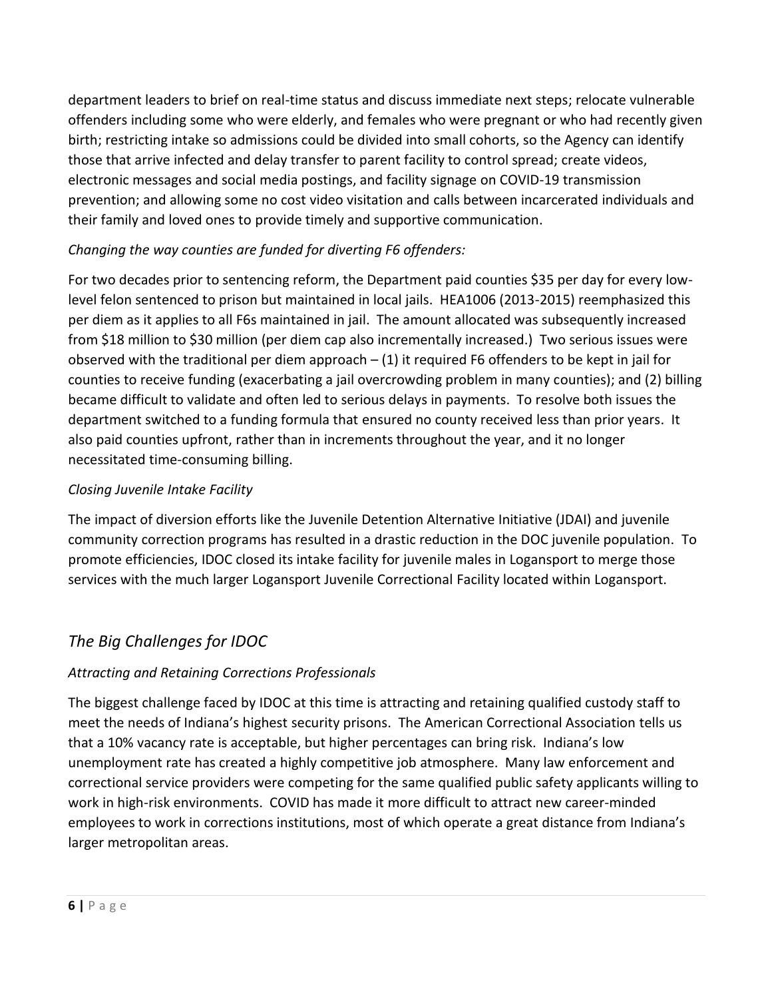department leaders to brief on real-time status and discuss immediate next steps; relocate vulnerable offenders including some who were elderly, and females who were pregnant or who had recently given birth; restricting intake so admissions could be divided into small cohorts, so the Agency can identify those that arrive infected and delay transfer to parent facility to control spread; create videos, electronic messages and social media postings, and facility signage on COVID-19 transmission prevention; and allowing some no cost video visitation and calls between incarcerated individuals and their family and loved ones to provide timely and supportive communication.

### *Changing the way counties are funded for diverting F6 offenders:*

For two decades prior to sentencing reform, the Department paid counties \$35 per day for every lowlevel felon sentenced to prison but maintained in local jails. HEA1006 (2013-2015) reemphasized this per diem as it applies to all F6s maintained in jail. The amount allocated was subsequently increased from \$18 million to \$30 million (per diem cap also incrementally increased.) Two serious issues were observed with the traditional per diem approach – (1) it required F6 offenders to be kept in jail for counties to receive funding (exacerbating a jail overcrowding problem in many counties); and (2) billing became difficult to validate and often led to serious delays in payments. To resolve both issues the department switched to a funding formula that ensured no county received less than prior years. It also paid counties upfront, rather than in increments throughout the year, and it no longer necessitated time-consuming billing.

## *Closing Juvenile Intake Facility*

The impact of diversion efforts like the Juvenile Detention Alternative Initiative (JDAI) and juvenile community correction programs has resulted in a drastic reduction in the DOC juvenile population. To promote efficiencies, IDOC closed its intake facility for juvenile males in Logansport to merge those services with the much larger Logansport Juvenile Correctional Facility located within Logansport.

# *The Big Challenges for IDOC*

## *Attracting and Retaining Corrections Professionals*

The biggest challenge faced by IDOC at this time is attracting and retaining qualified custody staff to meet the needs of Indiana's highest security prisons. The American Correctional Association tells us that a 10% vacancy rate is acceptable, but higher percentages can bring risk. Indiana's low unemployment rate has created a highly competitive job atmosphere. Many law enforcement and correctional service providers were competing for the same qualified public safety applicants willing to work in high-risk environments. COVID has made it more difficult to attract new career-minded employees to work in corrections institutions, most of which operate a great distance from Indiana's larger metropolitan areas.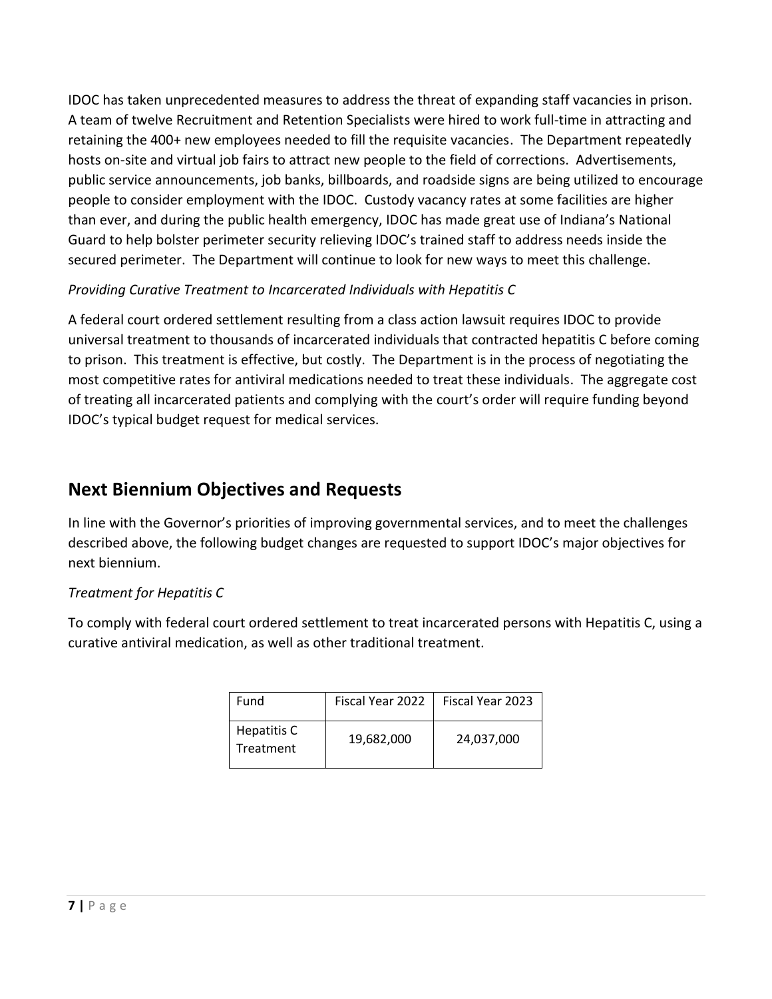IDOC has taken unprecedented measures to address the threat of expanding staff vacancies in prison. A team of twelve Recruitment and Retention Specialists were hired to work full-time in attracting and retaining the 400+ new employees needed to fill the requisite vacancies. The Department repeatedly hosts on-site and virtual job fairs to attract new people to the field of corrections. Advertisements, public service announcements, job banks, billboards, and roadside signs are being utilized to encourage people to consider employment with the IDOC. Custody vacancy rates at some facilities are higher than ever, and during the public health emergency, IDOC has made great use of Indiana's National Guard to help bolster perimeter security relieving IDOC's trained staff to address needs inside the secured perimeter. The Department will continue to look for new ways to meet this challenge.

## *Providing Curative Treatment to Incarcerated Individuals with Hepatitis C*

A federal court ordered settlement resulting from a class action lawsuit requires IDOC to provide universal treatment to thousands of incarcerated individuals that contracted hepatitis C before coming to prison. This treatment is effective, but costly. The Department is in the process of negotiating the most competitive rates for antiviral medications needed to treat these individuals. The aggregate cost of treating all incarcerated patients and complying with the court's order will require funding beyond IDOC's typical budget request for medical services.

# **Next Biennium Objectives and Requests**

In line with the Governor's priorities of improving governmental services, and to meet the challenges described above, the following budget changes are requested to support IDOC's major objectives for next biennium.

## *Treatment for Hepatitis C*

To comply with federal court ordered settlement to treat incarcerated persons with Hepatitis C, using a curative antiviral medication, as well as other traditional treatment.

| Fund                     | Fiscal Year 2022 | Fiscal Year 2023 |
|--------------------------|------------------|------------------|
| Hepatitis C<br>Treatment | 19,682,000       | 24,037,000       |